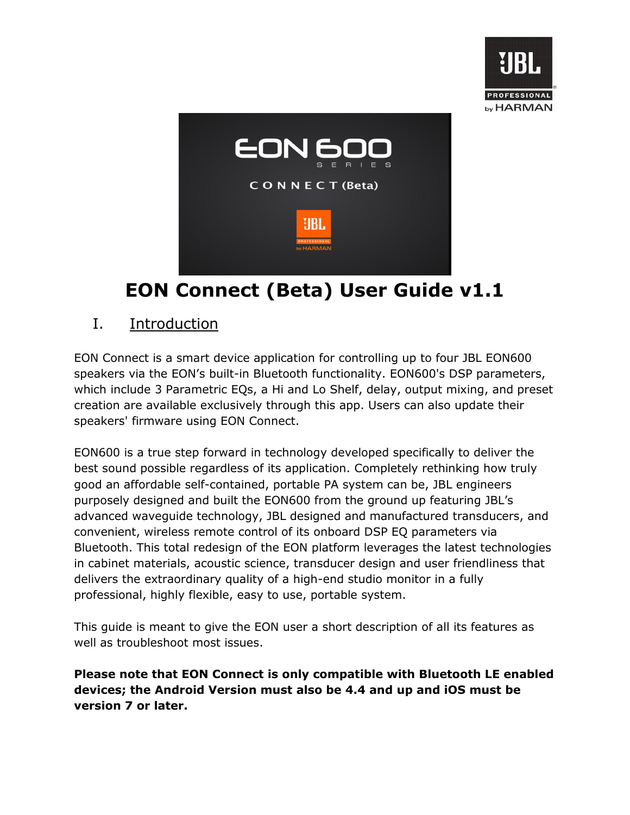



# **EON Connect (Beta) User Guide v1.1**

### I. Introduction

EON Connect is a smart device application for controlling up to four JBL EON600 speakers via the EON's built-in Bluetooth functionality. EON600's DSP parameters, which include 3 Parametric EQs, a Hi and Lo Shelf, delay, output mixing, and preset creation are available exclusively through this app. Users can also update their speakers' firmware using EON Connect.

EON600 is a true step forward in technology developed specifically to deliver the best sound possible regardless of its application. Completely rethinking how truly good an affordable self-contained, portable PA system can be, JBL engineers purposely designed and built the EON600 from the ground up featuring JBL's advanced waveguide technology, JBL designed and manufactured transducers, and convenient, wireless remote control of its onboard DSP EQ parameters via Bluetooth. This total redesign of the EON platform leverages the latest technologies in cabinet materials, acoustic science, transducer design and user friendliness that delivers the extraordinary quality of a high-end studio monitor in a fully professional, highly flexible, easy to use, portable system.

This guide is meant to give the EON user a short description of all its features as well as troubleshoot most issues.

**Please note that EON Connect is only compatible with Bluetooth LE enabled devices; the Android Version must also be 4.4 and up and iOS must be version 7 or later.**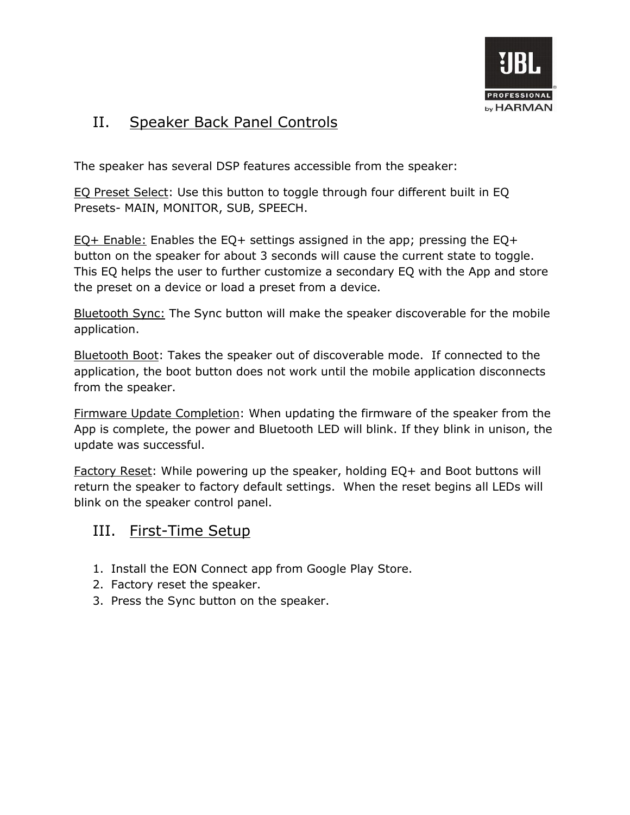

### II. Speaker Back Panel Controls

The speaker has several DSP features accessible from the speaker:

EQ Preset Select: Use this button to toggle through four different built in EQ Presets- MAIN, MONITOR, SUB, SPEECH.

EQ+ Enable: Enables the EQ+ settings assigned in the app; pressing the EQ+ button on the speaker for about 3 seconds will cause the current state to toggle. This EQ helps the user to further customize a secondary EQ with the App and store the preset on a device or load a preset from a device.

Bluetooth Sync: The Sync button will make the speaker discoverable for the mobile application.

Bluetooth Boot: Takes the speaker out of discoverable mode. If connected to the application, the boot button does not work until the mobile application disconnects from the speaker.

Firmware Update Completion: When updating the firmware of the speaker from the App is complete, the power and Bluetooth LED will blink. If they blink in unison, the update was successful.

Factory Reset: While powering up the speaker, holding EQ+ and Boot buttons will return the speaker to factory default settings. When the reset begins all LEDs will blink on the speaker control panel.

### III. First-Time Setup

- 1. Install the EON Connect app from Google Play Store.
- 2. Factory reset the speaker.
- 3. Press the Sync button on the speaker.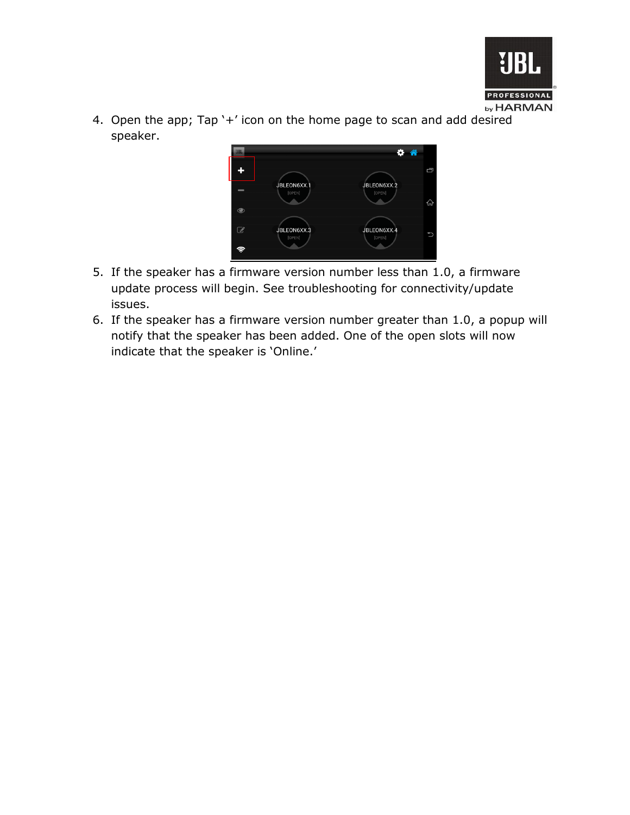

4. Open the app; Tap '+' icon on the home page to scan and add desired speaker.



- 5. If the speaker has a firmware version number less than 1.0, a firmware update process will begin. See troubleshooting for connectivity/update issues.
- 6. If the speaker has a firmware version number greater than 1.0, a popup will notify that the speaker has been added. One of the open slots will now indicate that the speaker is 'Online.'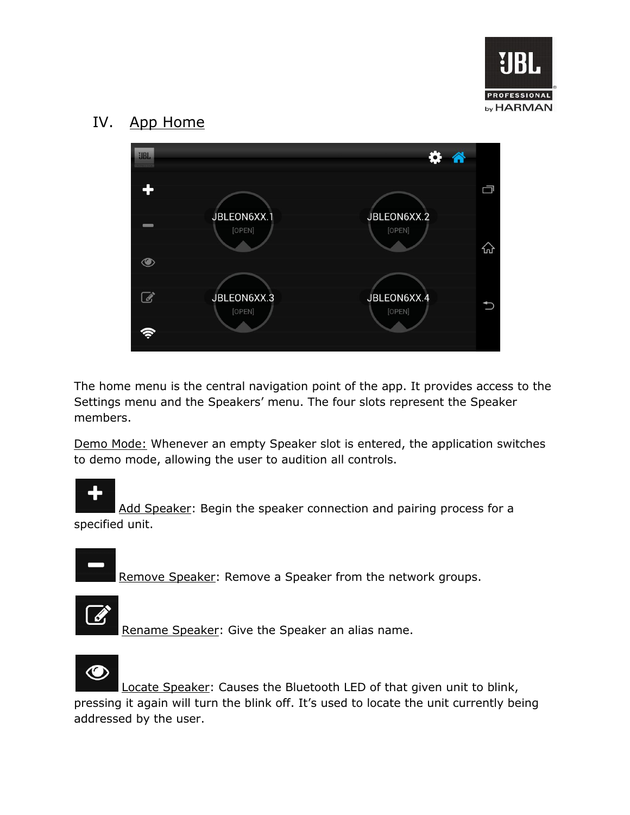

### IV. App Home



The home menu is the central navigation point of the app. It provides access to the Settings menu and the Speakers' menu. The four slots represent the Speaker members.

Demo Mode: Whenever an empty Speaker slot is entered, the application switches to demo mode, allowing the user to audition all controls.

Add Speaker: Begin the speaker connection and pairing process for a specified unit.

Remove Speaker: Remove a Speaker from the network groups.

Rename Speaker: Give the Speaker an alias name.



Locate Speaker: Causes the Bluetooth LED of that given unit to blink, pressing it again will turn the blink off. It's used to locate the unit currently being addressed by the user.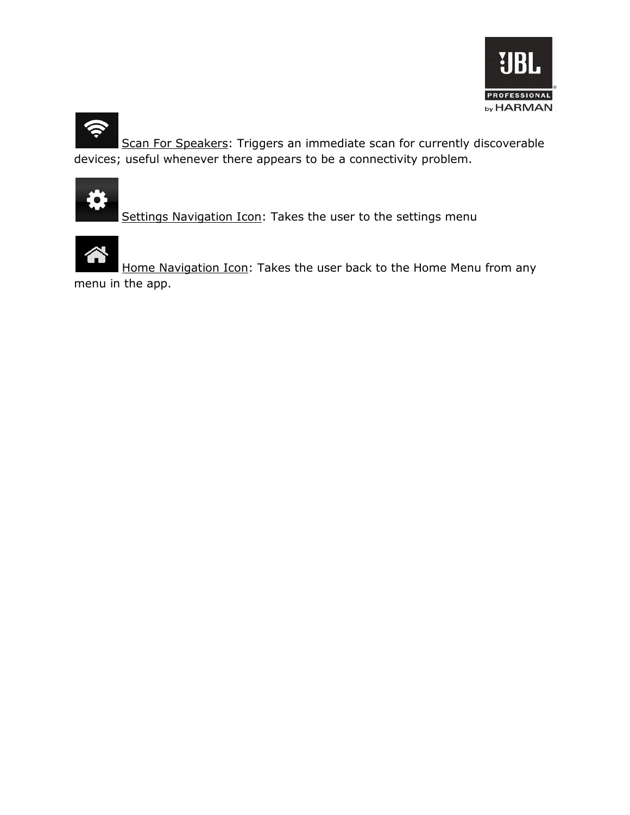



Scan For Speakers: Triggers an immediate scan for currently discoverable devices; useful whenever there appears to be a connectivity problem.



Settings Navigation Icon: Takes the user to the settings menu



Home Navigation Icon: Takes the user back to the Home Menu from any

menu in the app.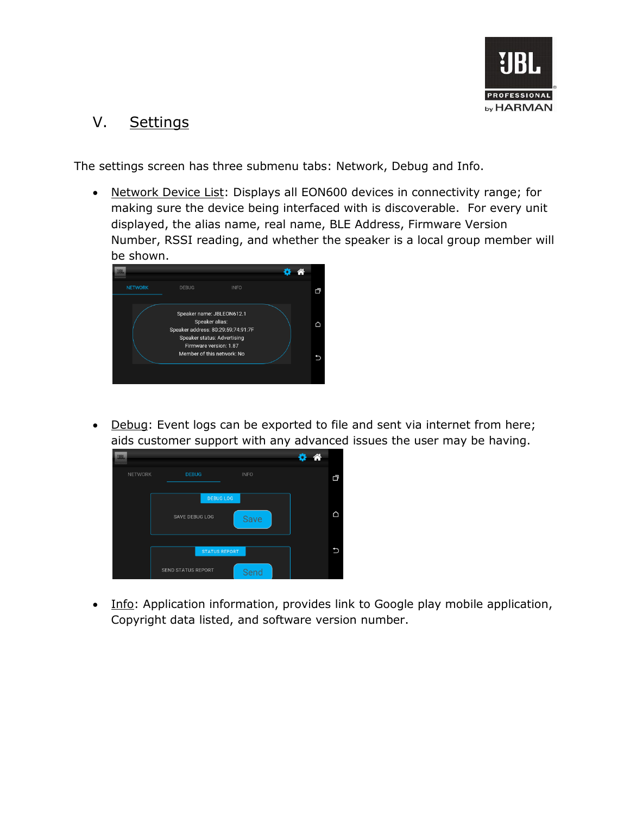

### V. Settings

The settings screen has three submenu tabs: Network, Debug and Info.

 Network Device List: Displays all EON600 devices in connectivity range; for making sure the device being interfaced with is discoverable. For every unit displayed, the alias name, real name, BLE Address, Firmware Version Number, RSSI reading, and whether the speaker is a local group member will be shown.



 Debug: Event logs can be exported to file and sent via internet from here; aids customer support with any advanced issues the user may be having.



• Info: Application information, provides link to Google play mobile application, Copyright data listed, and software version number.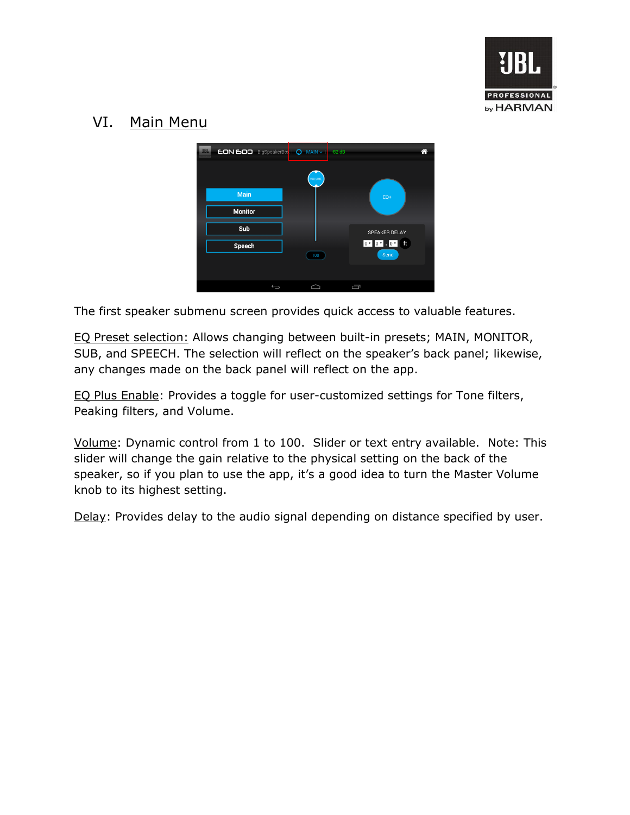

### VI. Main Menu



The first speaker submenu screen provides quick access to valuable features.

EQ Preset selection: Allows changing between built-in presets; MAIN, MONITOR, SUB, and SPEECH. The selection will reflect on the speaker's back panel; likewise, any changes made on the back panel will reflect on the app.

EQ Plus Enable: Provides a toggle for user-customized settings for Tone filters, Peaking filters, and Volume.

Volume: Dynamic control from 1 to 100. Slider or text entry available. Note: This slider will change the gain relative to the physical setting on the back of the speaker, so if you plan to use the app, it's a good idea to turn the Master Volume knob to its highest setting.

Delay: Provides delay to the audio signal depending on distance specified by user.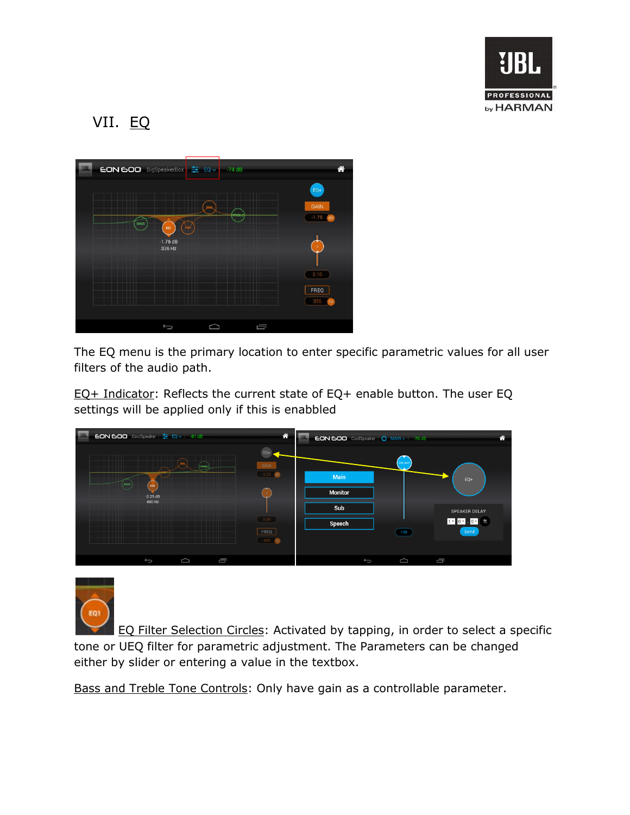

## VII. EQ



The EQ menu is the primary location to enter specific parametric values for all user filters of the audio path.

EQ+ Indicator: Reflects the current state of EQ+ enable button. The user EQ settings will be applied only if this is enabbled





EQ Filter Selection Circles: Activated by tapping, in order to select a specific tone or UEQ filter for parametric adjustment. The Parameters can be changed either by slider or entering a value in the textbox.

Bass and Treble Tone Controls: Only have gain as a controllable parameter.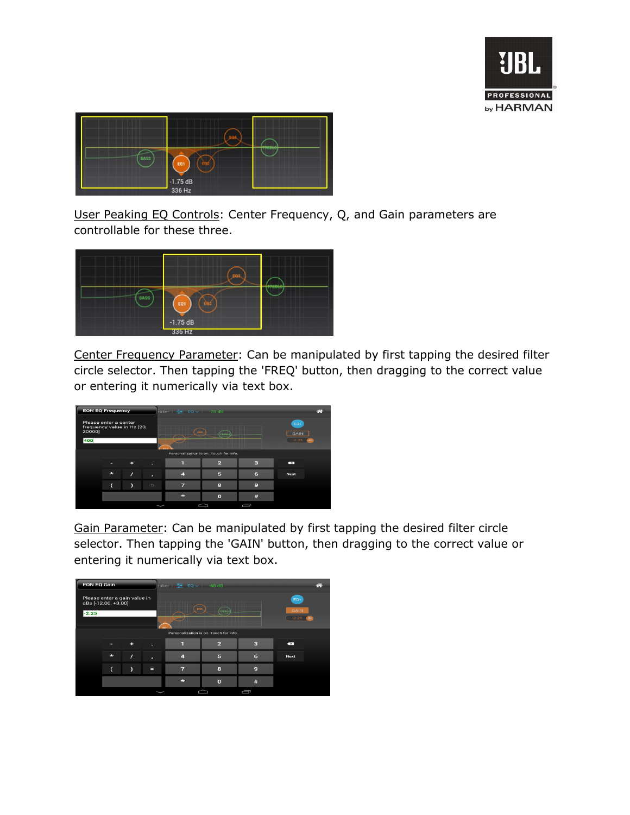



User Peaking EQ Controls: Center Frequency, Q, and Gain parameters are controllable for these three.



Center Frequency Parameter: Can be manipulated by first tapping the desired filter circle selector. Then tapping the 'FREQ' button, then dragging to the correct value or entering it numerically via text box.



Gain Parameter: Can be manipulated by first tapping the desired filter circle selector. Then tapping the 'GAIN' button, then dragging to the correct value or entering it numerically via text box.

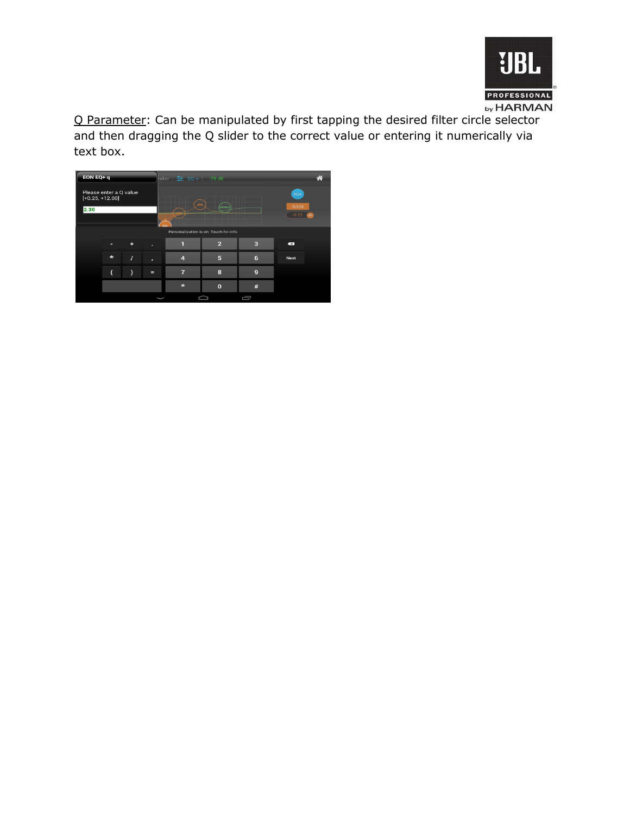

Q Parameter: Can be manipulated by first tapping the desired filter circle selector and then dragging the Q slider to the correct value or entering it numerically via text box.

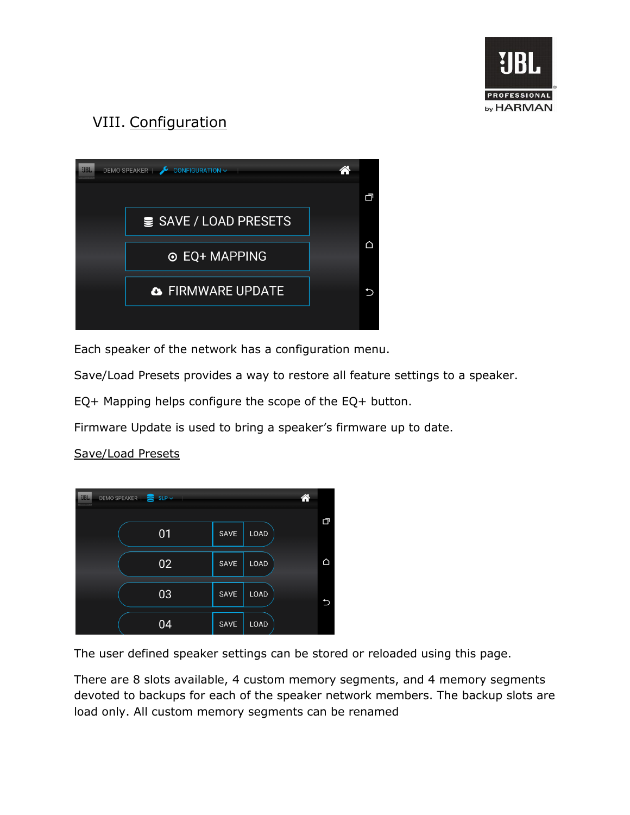

## VIII. Configuration



Each speaker of the network has a configuration menu.

Save/Load Presets provides a way to restore all feature settings to a speaker.

EQ+ Mapping helps configure the scope of the EQ+ button.

Firmware Update is used to bring a speaker's firmware up to date.

#### DEMO SPEAKER | SLP v  $01$ SAVE LOAD △ 02 SAVE LOAD 03 SAVE LOAD LOAD 04 SAVE

#### Save/Load Presets

The user defined speaker settings can be stored or reloaded using this page.

There are 8 slots available, 4 custom memory segments, and 4 memory segments devoted to backups for each of the speaker network members. The backup slots are load only. All custom memory segments can be renamed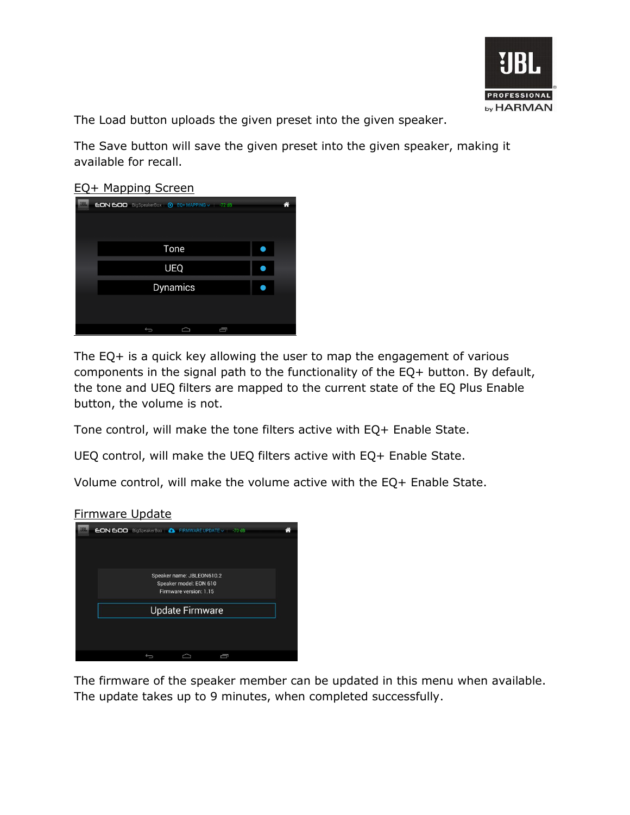

The Load button uploads the given preset into the given speaker.

The Save button will save the given preset into the given speaker, making it available for recall.

#### EQ+ Mapping Screen



The EQ+ is a quick key allowing the user to map the engagement of various components in the signal path to the functionality of the EQ+ button. By default, the tone and UEQ filters are mapped to the current state of the EQ Plus Enable button, the volume is not.

Tone control, will make the tone filters active with EQ+ Enable State.

UEQ control, will make the UEQ filters active with EQ+ Enable State.

Volume control, will make the volume active with the EQ+ Enable State.

#### Firmware Update



The firmware of the speaker member can be updated in this menu when available. The update takes up to 9 minutes, when completed successfully.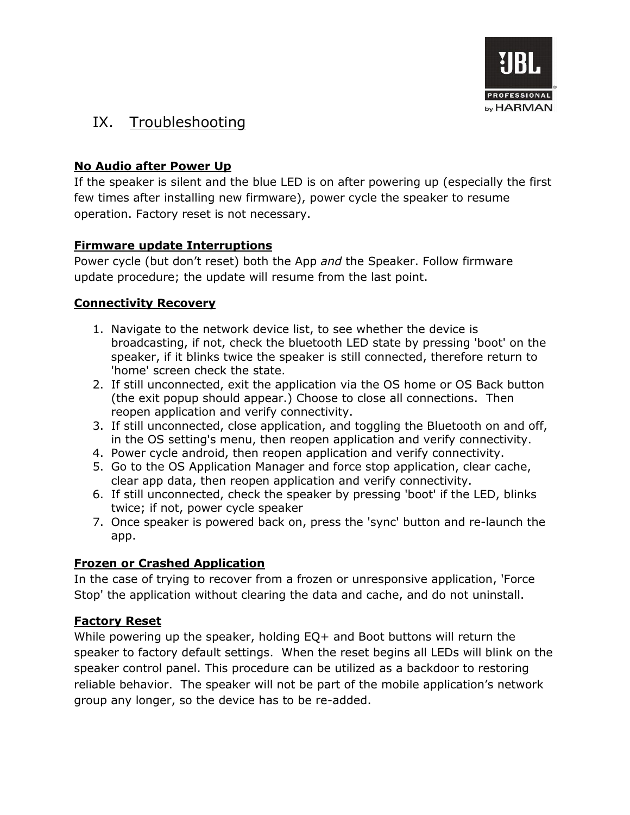

### IX. Troubleshooting

#### **No Audio after Power Up**

If the speaker is silent and the blue LED is on after powering up (especially the first few times after installing new firmware), power cycle the speaker to resume operation. Factory reset is not necessary.

#### **Firmware update Interruptions**

Power cycle (but don't reset) both the App *and* the Speaker. Follow firmware update procedure; the update will resume from the last point.

#### **Connectivity Recovery**

- 1. Navigate to the network device list, to see whether the device is broadcasting, if not, check the bluetooth LED state by pressing 'boot' on the speaker, if it blinks twice the speaker is still connected, therefore return to 'home' screen check the state.
- 2. If still unconnected, exit the application via the OS home or OS Back button (the exit popup should appear.) Choose to close all connections. Then reopen application and verify connectivity.
- 3. If still unconnected, close application, and toggling the Bluetooth on and off, in the OS setting's menu, then reopen application and verify connectivity.
- 4. Power cycle android, then reopen application and verify connectivity.
- 5. Go to the OS Application Manager and force stop application, clear cache, clear app data, then reopen application and verify connectivity.
- 6. If still unconnected, check the speaker by pressing 'boot' if the LED, blinks twice; if not, power cycle speaker
- 7. Once speaker is powered back on, press the 'sync' button and re-launch the app.

#### **Frozen or Crashed Application**

In the case of trying to recover from a frozen or unresponsive application, 'Force Stop' the application without clearing the data and cache, and do not uninstall.

#### **Factory Reset**

While powering up the speaker, holding EQ+ and Boot buttons will return the speaker to factory default settings. When the reset begins all LEDs will blink on the speaker control panel. This procedure can be utilized as a backdoor to restoring reliable behavior. The speaker will not be part of the mobile application's network group any longer, so the device has to be re-added.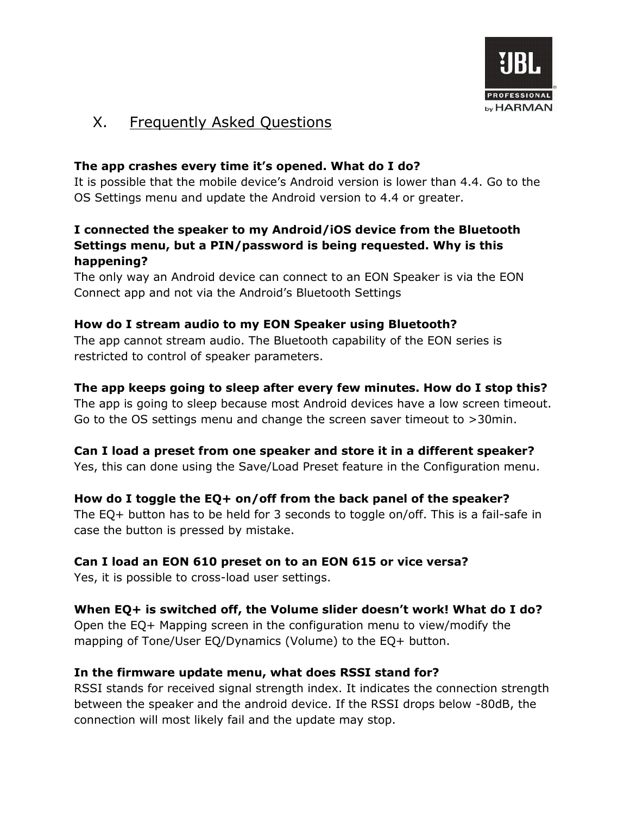

### X. Frequently Asked Questions

#### **The app crashes every time it's opened. What do I do?**

It is possible that the mobile device's Android version is lower than 4.4. Go to the OS Settings menu and update the Android version to 4.4 or greater.

#### **I connected the speaker to my Android/iOS device from the Bluetooth Settings menu, but a PIN/password is being requested. Why is this happening?**

The only way an Android device can connect to an EON Speaker is via the EON Connect app and not via the Android's Bluetooth Settings

#### **How do I stream audio to my EON Speaker using Bluetooth?**

The app cannot stream audio. The Bluetooth capability of the EON series is restricted to control of speaker parameters.

#### **The app keeps going to sleep after every few minutes. How do I stop this?**

The app is going to sleep because most Android devices have a low screen timeout. Go to the OS settings menu and change the screen saver timeout to >30min.

#### **Can I load a preset from one speaker and store it in a different speaker?**

Yes, this can done using the Save/Load Preset feature in the Configuration menu.

#### **How do I toggle the EQ+ on/off from the back panel of the speaker?**

The EQ+ button has to be held for 3 seconds to toggle on/off. This is a fail-safe in case the button is pressed by mistake.

#### **Can I load an EON 610 preset on to an EON 615 or vice versa?**

Yes, it is possible to cross-load user settings.

#### **When EQ+ is switched off, the Volume slider doesn't work! What do I do?**

Open the EQ+ Mapping screen in the configuration menu to view/modify the mapping of Tone/User EQ/Dynamics (Volume) to the EQ+ button.

#### **In the firmware update menu, what does RSSI stand for?**

RSSI stands for received signal strength index. It indicates the connection strength between the speaker and the android device. If the RSSI drops below -80dB, the connection will most likely fail and the update may stop.